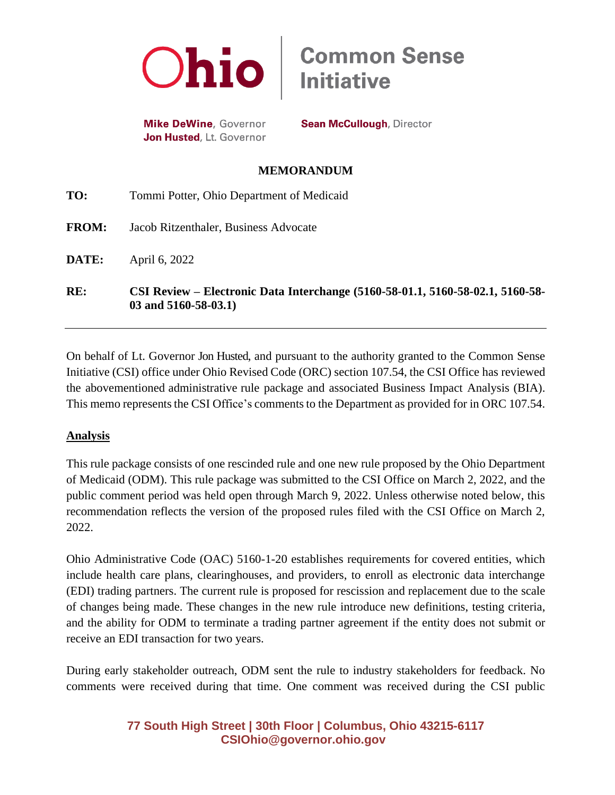

**Mike DeWine**, Governor Jon Husted, Lt. Governor **Sean McCullough, Director** 

**Common Sense<br>Initiative** 

## **MEMORANDUM**

| RE:          | CSI Review – Electronic Data Interchange (5160-58-01.1, 5160-58-02.1, 5160-58-<br>$03$ and $5160 - 58 - 03.1$ |
|--------------|---------------------------------------------------------------------------------------------------------------|
| DATE:        | April 6, 2022                                                                                                 |
| <b>FROM:</b> | Jacob Ritzenthaler, Business Advocate                                                                         |
| TO:          | Tommi Potter, Ohio Department of Medicaid                                                                     |

On behalf of Lt. Governor Jon Husted, and pursuant to the authority granted to the Common Sense Initiative (CSI) office under Ohio Revised Code (ORC) section 107.54, the CSI Office has reviewed the abovementioned administrative rule package and associated Business Impact Analysis (BIA). This memo represents the CSI Office's comments to the Department as provided for in ORC 107.54.

## **Analysis**

This rule package consists of one rescinded rule and one new rule proposed by the Ohio Department of Medicaid (ODM). This rule package was submitted to the CSI Office on March 2, 2022, and the public comment period was held open through March 9, 2022. Unless otherwise noted below, this recommendation reflects the version of the proposed rules filed with the CSI Office on March 2, 2022.

Ohio Administrative Code (OAC) 5160-1-20 establishes requirements for covered entities, which include health care plans, clearinghouses, and providers, to enroll as electronic data interchange (EDI) trading partners. The current rule is proposed for rescission and replacement due to the scale of changes being made. These changes in the new rule introduce new definitions, testing criteria, and the ability for ODM to terminate a trading partner agreement if the entity does not submit or receive an EDI transaction for two years.

During early stakeholder outreach, ODM sent the rule to industry stakeholders for feedback. No comments were received during that time. One comment was received during the CSI public

> **77 South High Street | 30th Floor | Columbus, Ohio 43215-6117 [CSIOhio@governor.ohio.gov](mailto:CSIOhio@governor.ohio.gov)**